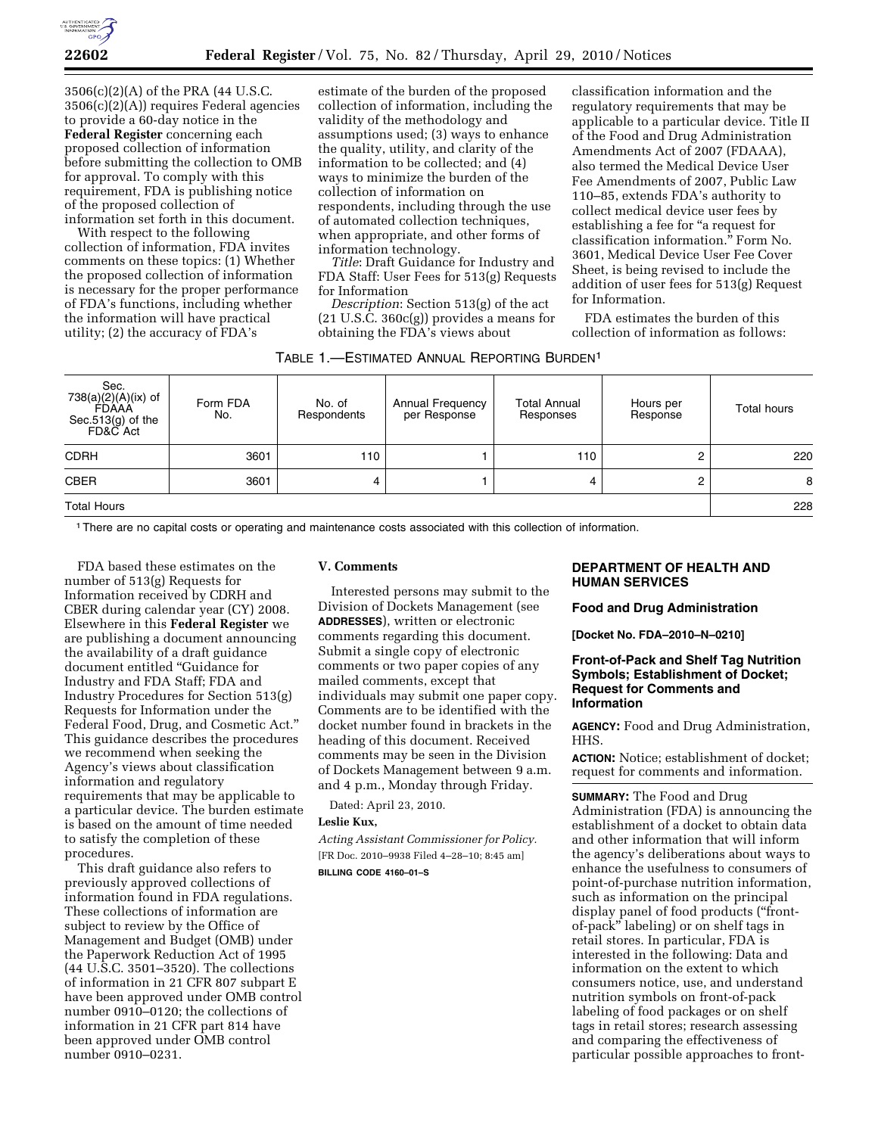

3506(c)(2)(A) of the PRA (44 U.S.C. 3506(c)(2)(A)) requires Federal agencies to provide a 60-day notice in the **Federal Register** concerning each proposed collection of information before submitting the collection to OMB for approval. To comply with this requirement, FDA is publishing notice of the proposed collection of information set forth in this document.

With respect to the following collection of information, FDA invites comments on these topics: (1) Whether the proposed collection of information is necessary for the proper performance of FDA's functions, including whether the information will have practical utility; (2) the accuracy of FDA's

estimate of the burden of the proposed collection of information, including the validity of the methodology and assumptions used; (3) ways to enhance the quality, utility, and clarity of the information to be collected; and (4) ways to minimize the burden of the collection of information on respondents, including through the use of automated collection techniques, when appropriate, and other forms of information technology.

*Title*: Draft Guidance for Industry and FDA Staff: User Fees for 513(g) Requests for Information

*Description*: Section 513(g) of the act  $(21 \text{ U.S.C. } 360c(g))$  provides a means for obtaining the FDA's views about

classification information and the regulatory requirements that may be applicable to a particular device. Title II of the Food and Drug Administration Amendments Act of 2007 (FDAAA), also termed the Medical Device User Fee Amendments of 2007, Public Law 110–85, extends FDA's authority to collect medical device user fees by establishing a fee for ''a request for classification information.'' Form No. 3601, Medical Device User Fee Cover Sheet, is being revised to include the addition of user fees for 513(g) Request for Information.

FDA estimates the burden of this collection of information as follows:

| TABLE 1.—ESTIMATED ANNUAL REPORTING BURDEN <sup>1</sup> |  |  |  |
|---------------------------------------------------------|--|--|--|
|---------------------------------------------------------|--|--|--|

| Sec.<br>738(a)(2)(A)(ix) of<br>FDAAA<br>Sec.513(g) of the<br>FD&C Act | Form FDA<br>No. | No. of<br>Respondents | <b>Annual Frequency</b><br>per Response | <b>Total Annual</b><br>Responses | Hours per<br>Response | <b>Total hours</b> |
|-----------------------------------------------------------------------|-----------------|-----------------------|-----------------------------------------|----------------------------------|-----------------------|--------------------|
| <b>CDRH</b>                                                           | 3601            | 110                   |                                         | 110                              |                       | 220                |
| <b>CBER</b>                                                           | 3601            | 4                     |                                         | 4                                | ⌒                     | 8                  |
| <b>Total Hours</b>                                                    |                 |                       |                                         |                                  |                       |                    |

1There are no capital costs or operating and maintenance costs associated with this collection of information.

FDA based these estimates on the number of 513(g) Requests for Information received by CDRH and CBER during calendar year (CY) 2008. Elsewhere in this **Federal Register** we are publishing a document announcing the availability of a draft guidance document entitled ''Guidance for Industry and FDA Staff; FDA and Industry Procedures for Section 513(g) Requests for Information under the Federal Food, Drug, and Cosmetic Act.'' This guidance describes the procedures we recommend when seeking the Agency's views about classification information and regulatory requirements that may be applicable to a particular device. The burden estimate is based on the amount of time needed to satisfy the completion of these procedures.

This draft guidance also refers to previously approved collections of information found in FDA regulations. These collections of information are subject to review by the Office of Management and Budget (OMB) under the Paperwork Reduction Act of 1995 (44 U.S.C. 3501–3520). The collections of information in 21 CFR 807 subpart E have been approved under OMB control number 0910–0120; the collections of information in 21 CFR part 814 have been approved under OMB control number 0910–0231.

#### **V. Comments**

Interested persons may submit to the Division of Dockets Management (see **ADDRESSES**), written or electronic comments regarding this document. Submit a single copy of electronic comments or two paper copies of any mailed comments, except that individuals may submit one paper copy. Comments are to be identified with the docket number found in brackets in the heading of this document. Received comments may be seen in the Division of Dockets Management between 9 a.m. and 4 p.m., Monday through Friday.

Dated: April 23, 2010.

#### **Leslie Kux,**

*Acting Assistant Commissioner for Policy.*  [FR Doc. 2010–9938 Filed 4–28–10; 8:45 am] **BILLING CODE 4160–01–S** 

# **DEPARTMENT OF HEALTH AND HUMAN SERVICES**

#### **Food and Drug Administration**

**[Docket No. FDA–2010–N–0210]** 

## **Front-of-Pack and Shelf Tag Nutrition Symbols; Establishment of Docket; Request for Comments and Information**

**AGENCY:** Food and Drug Administration, HHS.

**ACTION:** Notice; establishment of docket; request for comments and information.

**SUMMARY:** The Food and Drug Administration (FDA) is announcing the establishment of a docket to obtain data and other information that will inform the agency's deliberations about ways to enhance the usefulness to consumers of point-of-purchase nutrition information, such as information on the principal display panel of food products (''frontof-pack'' labeling) or on shelf tags in retail stores. In particular, FDA is interested in the following: Data and information on the extent to which consumers notice, use, and understand nutrition symbols on front-of-pack labeling of food packages or on shelf tags in retail stores; research assessing and comparing the effectiveness of particular possible approaches to front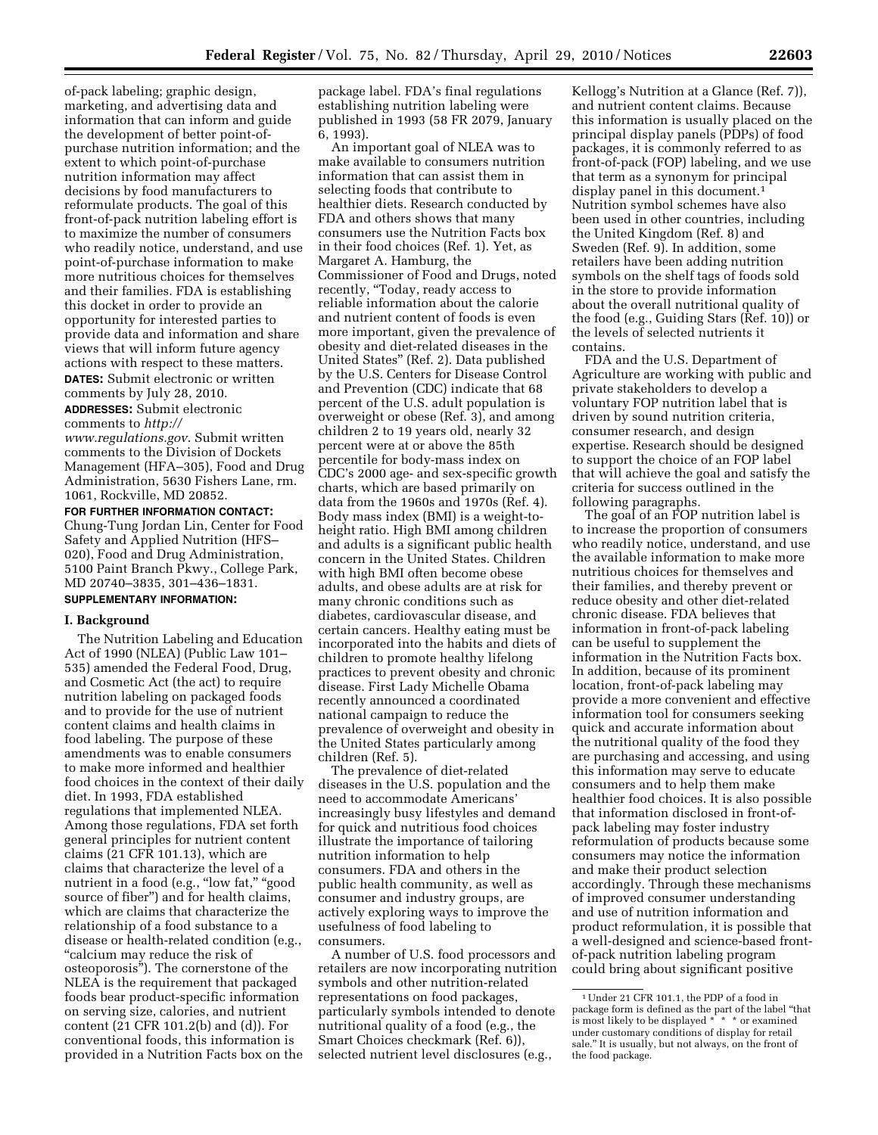of-pack labeling; graphic design, marketing, and advertising data and information that can inform and guide the development of better point-ofpurchase nutrition information; and the extent to which point-of-purchase nutrition information may affect decisions by food manufacturers to reformulate products. The goal of this front-of-pack nutrition labeling effort is to maximize the number of consumers who readily notice, understand, and use point-of-purchase information to make more nutritious choices for themselves and their families. FDA is establishing this docket in order to provide an opportunity for interested parties to provide data and information and share views that will inform future agency actions with respect to these matters. **DATES:** Submit electronic or written comments by July 28, 2010.

**ADDRESSES:** Submit electronic comments to *http://* 

*www.regulations.gov*. Submit written comments to the Division of Dockets Management (HFA–305), Food and Drug Administration, 5630 Fishers Lane, rm. 1061, Rockville, MD 20852.

**FOR FURTHER INFORMATION CONTACT:**  Chung-Tung Jordan Lin, Center for Food Safety and Applied Nutrition (HFS– 020), Food and Drug Administration, 5100 Paint Branch Pkwy., College Park, MD 20740–3835, 301–436–1831.

# **SUPPLEMENTARY INFORMATION:**

# **I. Background**

The Nutrition Labeling and Education Act of 1990 (NLEA) (Public Law 101– 535) amended the Federal Food, Drug, and Cosmetic Act (the act) to require nutrition labeling on packaged foods and to provide for the use of nutrient content claims and health claims in food labeling. The purpose of these amendments was to enable consumers to make more informed and healthier food choices in the context of their daily diet. In 1993, FDA established regulations that implemented NLEA. Among those regulations, FDA set forth general principles for nutrient content claims (21 CFR 101.13), which are claims that characterize the level of a nutrient in a food (e.g., "low fat," "good source of fiber'') and for health claims, which are claims that characterize the relationship of a food substance to a disease or health-related condition (e.g., ''calcium may reduce the risk of osteoporosis''). The cornerstone of the NLEA is the requirement that packaged foods bear product-specific information on serving size, calories, and nutrient content (21 CFR 101.2(b) and (d)). For conventional foods, this information is provided in a Nutrition Facts box on the package label. FDA's final regulations establishing nutrition labeling were published in 1993 (58 FR 2079, January 6, 1993).

An important goal of NLEA was to make available to consumers nutrition information that can assist them in selecting foods that contribute to healthier diets. Research conducted by FDA and others shows that many consumers use the Nutrition Facts box in their food choices (Ref. 1). Yet, as Margaret A. Hamburg, the Commissioner of Food and Drugs, noted recently, "Today, ready access to reliable information about the calorie and nutrient content of foods is even more important, given the prevalence of obesity and diet-related diseases in the United States'' (Ref. 2). Data published by the U.S. Centers for Disease Control and Prevention (CDC) indicate that 68 percent of the U.S. adult population is overweight or obese (Ref. 3), and among children 2 to 19 years old, nearly 32 percent were at or above the 85th percentile for body-mass index on CDC's 2000 age- and sex-specific growth charts, which are based primarily on data from the 1960s and 1970s (Ref. 4). Body mass index (BMI) is a weight-toheight ratio. High BMI among children and adults is a significant public health concern in the United States. Children with high BMI often become obese adults, and obese adults are at risk for many chronic conditions such as diabetes, cardiovascular disease, and certain cancers. Healthy eating must be incorporated into the habits and diets of children to promote healthy lifelong practices to prevent obesity and chronic disease. First Lady Michelle Obama recently announced a coordinated national campaign to reduce the prevalence of overweight and obesity in the United States particularly among children (Ref. 5).

The prevalence of diet-related diseases in the U.S. population and the need to accommodate Americans' increasingly busy lifestyles and demand for quick and nutritious food choices illustrate the importance of tailoring nutrition information to help consumers. FDA and others in the public health community, as well as consumer and industry groups, are actively exploring ways to improve the usefulness of food labeling to consumers.

A number of U.S. food processors and retailers are now incorporating nutrition symbols and other nutrition-related representations on food packages, particularly symbols intended to denote nutritional quality of a food (e.g., the Smart Choices checkmark (Ref. 6)), selected nutrient level disclosures (e.g.,

Kellogg's Nutrition at a Glance (Ref. 7)), and nutrient content claims. Because this information is usually placed on the principal display panels (PDPs) of food packages, it is commonly referred to as front-of-pack (FOP) labeling, and we use that term as a synonym for principal display panel in this document.1 Nutrition symbol schemes have also been used in other countries, including the United Kingdom (Ref. 8) and Sweden (Ref. 9). In addition, some retailers have been adding nutrition symbols on the shelf tags of foods sold in the store to provide information about the overall nutritional quality of the food (e.g., Guiding Stars (Ref. 10)) or the levels of selected nutrients it contains.

FDA and the U.S. Department of Agriculture are working with public and private stakeholders to develop a voluntary FOP nutrition label that is driven by sound nutrition criteria, consumer research, and design expertise. Research should be designed to support the choice of an FOP label that will achieve the goal and satisfy the criteria for success outlined in the following paragraphs.

The goal of an FOP nutrition label is to increase the proportion of consumers who readily notice, understand, and use the available information to make more nutritious choices for themselves and their families, and thereby prevent or reduce obesity and other diet-related chronic disease. FDA believes that information in front-of-pack labeling can be useful to supplement the information in the Nutrition Facts box. In addition, because of its prominent location, front-of-pack labeling may provide a more convenient and effective information tool for consumers seeking quick and accurate information about the nutritional quality of the food they are purchasing and accessing, and using this information may serve to educate consumers and to help them make healthier food choices. It is also possible that information disclosed in front-ofpack labeling may foster industry reformulation of products because some consumers may notice the information and make their product selection accordingly. Through these mechanisms of improved consumer understanding and use of nutrition information and product reformulation, it is possible that a well-designed and science-based frontof-pack nutrition labeling program could bring about significant positive

<sup>1</sup>Under 21 CFR 101.1, the PDP of a food in package form is defined as the part of the label ''that is most likely to be displayed \* \* \* or examined under customary conditions of display for retail sale.'' It is usually, but not always, on the front of the food package.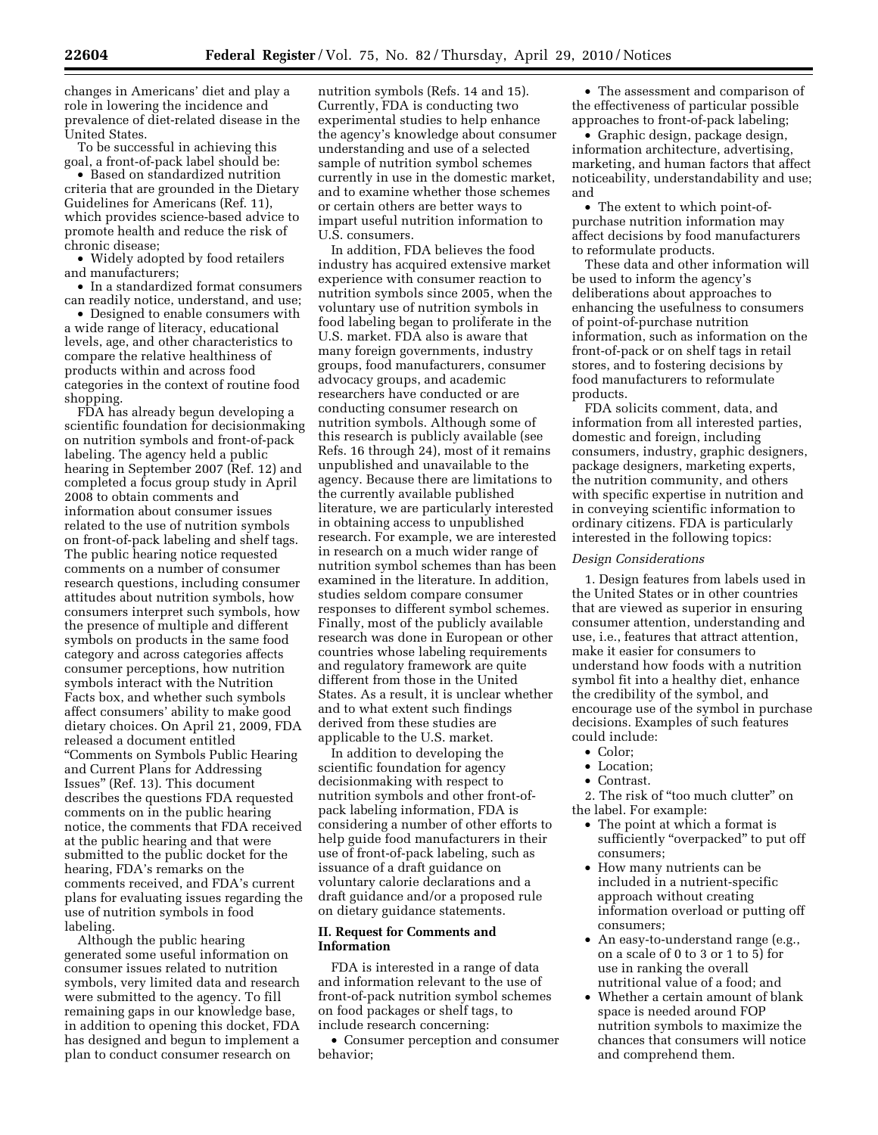changes in Americans' diet and play a role in lowering the incidence and prevalence of diet-related disease in the United States.

To be successful in achieving this goal, a front-of-pack label should be:

• Based on standardized nutrition criteria that are grounded in the Dietary Guidelines for Americans (Ref. 11), which provides science-based advice to promote health and reduce the risk of chronic disease;

• Widely adopted by food retailers and manufacturers;

• In a standardized format consumers can readily notice, understand, and use;

• Designed to enable consumers with a wide range of literacy, educational levels, age, and other characteristics to compare the relative healthiness of products within and across food categories in the context of routine food shopping.

FDA has already begun developing a scientific foundation for decisionmaking on nutrition symbols and front-of-pack labeling. The agency held a public hearing in September 2007 (Ref. 12) and completed a focus group study in April 2008 to obtain comments and information about consumer issues related to the use of nutrition symbols on front-of-pack labeling and shelf tags. The public hearing notice requested comments on a number of consumer research questions, including consumer attitudes about nutrition symbols, how consumers interpret such symbols, how the presence of multiple and different symbols on products in the same food category and across categories affects consumer perceptions, how nutrition symbols interact with the Nutrition Facts box, and whether such symbols affect consumers' ability to make good dietary choices. On April 21, 2009, FDA released a document entitled ''Comments on Symbols Public Hearing and Current Plans for Addressing Issues'' (Ref. 13). This document describes the questions FDA requested comments on in the public hearing notice, the comments that FDA received at the public hearing and that were submitted to the public docket for the hearing, FDA's remarks on the comments received, and FDA's current plans for evaluating issues regarding the use of nutrition symbols in food labeling.

Although the public hearing generated some useful information on consumer issues related to nutrition symbols, very limited data and research were submitted to the agency. To fill remaining gaps in our knowledge base, in addition to opening this docket, FDA has designed and begun to implement a plan to conduct consumer research on

nutrition symbols (Refs. 14 and 15). Currently, FDA is conducting two experimental studies to help enhance the agency's knowledge about consumer understanding and use of a selected sample of nutrition symbol schemes currently in use in the domestic market, and to examine whether those schemes or certain others are better ways to impart useful nutrition information to U.S. consumers.

In addition, FDA believes the food industry has acquired extensive market experience with consumer reaction to nutrition symbols since 2005, when the voluntary use of nutrition symbols in food labeling began to proliferate in the U.S. market. FDA also is aware that many foreign governments, industry groups, food manufacturers, consumer advocacy groups, and academic researchers have conducted or are conducting consumer research on nutrition symbols. Although some of this research is publicly available (see Refs. 16 through 24), most of it remains unpublished and unavailable to the agency. Because there are limitations to the currently available published literature, we are particularly interested in obtaining access to unpublished research. For example, we are interested in research on a much wider range of nutrition symbol schemes than has been examined in the literature. In addition, studies seldom compare consumer responses to different symbol schemes. Finally, most of the publicly available research was done in European or other countries whose labeling requirements and regulatory framework are quite different from those in the United States. As a result, it is unclear whether and to what extent such findings derived from these studies are applicable to the U.S. market.

In addition to developing the scientific foundation for agency decisionmaking with respect to nutrition symbols and other front-ofpack labeling information, FDA is considering a number of other efforts to help guide food manufacturers in their use of front-of-pack labeling, such as issuance of a draft guidance on voluntary calorie declarations and a draft guidance and/or a proposed rule on dietary guidance statements.

### **II. Request for Comments and Information**

FDA is interested in a range of data and information relevant to the use of front-of-pack nutrition symbol schemes on food packages or shelf tags, to include research concerning:

• Consumer perception and consumer behavior;

• The assessment and comparison of the effectiveness of particular possible approaches to front-of-pack labeling;

• Graphic design, package design, information architecture, advertising, marketing, and human factors that affect noticeability, understandability and use; and

• The extent to which point-ofpurchase nutrition information may affect decisions by food manufacturers to reformulate products.

These data and other information will be used to inform the agency's deliberations about approaches to enhancing the usefulness to consumers of point-of-purchase nutrition information, such as information on the front-of-pack or on shelf tags in retail stores, and to fostering decisions by food manufacturers to reformulate products.

FDA solicits comment, data, and information from all interested parties, domestic and foreign, including consumers, industry, graphic designers, package designers, marketing experts, the nutrition community, and others with specific expertise in nutrition and in conveying scientific information to ordinary citizens. FDA is particularly interested in the following topics:

#### *Design Considerations*

1. Design features from labels used in the United States or in other countries that are viewed as superior in ensuring consumer attention, understanding and use, i.e., features that attract attention, make it easier for consumers to understand how foods with a nutrition symbol fit into a healthy diet, enhance the credibility of the symbol, and encourage use of the symbol in purchase decisions. Examples of such features could include:

- Color;
- Location:
- Contrast.

2. The risk of ''too much clutter'' on the label. For example:

- The point at which a format is sufficiently "overpacked" to put off consumers;
- How many nutrients can be included in a nutrient-specific approach without creating information overload or putting off consumers;
- An easy-to-understand range (e.g., on a scale of 0 to 3 or 1 to 5) for use in ranking the overall nutritional value of a food; and
- Whether a certain amount of blank space is needed around FOP nutrition symbols to maximize the chances that consumers will notice and comprehend them.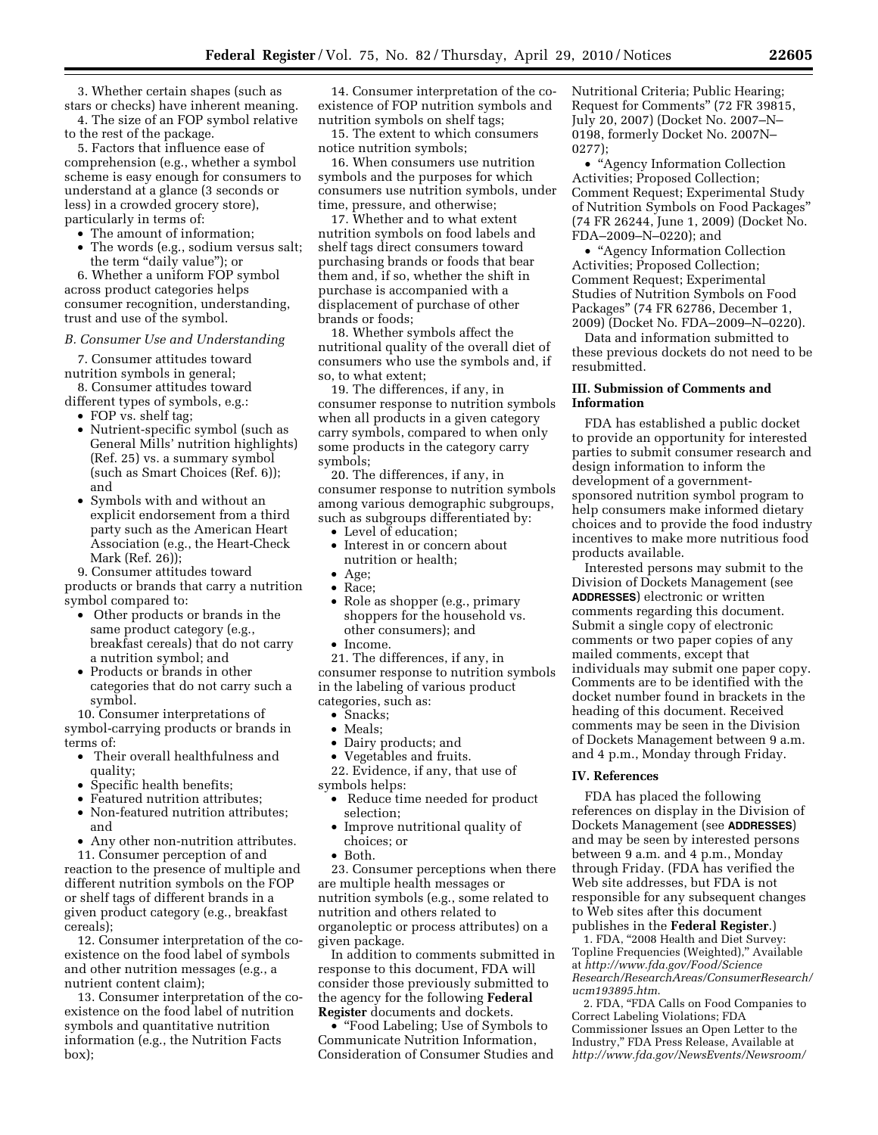3. Whether certain shapes (such as stars or checks) have inherent meaning.

4. The size of an FOP symbol relative to the rest of the package.

5. Factors that influence ease of comprehension (e.g., whether a symbol scheme is easy enough for consumers to understand at a glance (3 seconds or less) in a crowded grocery store), particularly in terms of:

- The amount of information;
- The words (e.g., sodium versus salt; the term "daily value"); or

6. Whether a uniform FOP symbol across product categories helps consumer recognition, understanding, trust and use of the symbol.

# *B. Consumer Use and Understanding*

7. Consumer attitudes toward nutrition symbols in general;

8. Consumer attitudes toward different types of symbols, e.g.:

- FOP vs. shelf tag;
- Nutrient-specific symbol (such as General Mills' nutrition highlights) (Ref. 25) vs. a summary symbol (such as Smart Choices (Ref. 6)); and
- Symbols with and without an explicit endorsement from a third party such as the American Heart Association (e.g., the Heart-Check Mark (Ref. 26));

9. Consumer attitudes toward products or brands that carry a nutrition symbol compared to:

- Other products or brands in the same product category (e.g., breakfast cereals) that do not carry a nutrition symbol; and
- Products or brands in other categories that do not carry such a symbol.

10. Consumer interpretations of symbol-carrying products or brands in terms of:

- Their overall healthfulness and quality;
- Specific health benefits;
- Featured nutrition attributes;
- Non-featured nutrition attributes; and
- Any other non-nutrition attributes.

11. Consumer perception of and reaction to the presence of multiple and different nutrition symbols on the FOP

or shelf tags of different brands in a given product category (e.g., breakfast cereals); 12. Consumer interpretation of the co-

existence on the food label of symbols and other nutrition messages (e.g., a nutrient content claim);

13. Consumer interpretation of the coexistence on the food label of nutrition symbols and quantitative nutrition information (e.g., the Nutrition Facts box);

14. Consumer interpretation of the coexistence of FOP nutrition symbols and nutrition symbols on shelf tags;

15. The extent to which consumers notice nutrition symbols;

16. When consumers use nutrition symbols and the purposes for which consumers use nutrition symbols, under time, pressure, and otherwise;

17. Whether and to what extent nutrition symbols on food labels and shelf tags direct consumers toward purchasing brands or foods that bear them and, if so, whether the shift in purchase is accompanied with a displacement of purchase of other brands or foods;

18. Whether symbols affect the nutritional quality of the overall diet of consumers who use the symbols and, if so, to what extent;

19. The differences, if any, in consumer response to nutrition symbols when all products in a given category carry symbols, compared to when only some products in the category carry symbols;

20. The differences, if any, in consumer response to nutrition symbols among various demographic subgroups, such as subgroups differentiated by:

- Level of education;
- Interest in or concern about nutrition or health;
- Age;
- Race;
- Role as shopper (e.g., primary shoppers for the household vs. other consumers); and
- Income.

21. The differences, if any, in consumer response to nutrition symbols in the labeling of various product categories, such as:

- Snacks:
- Meals;
- Dairy products; and
- Vegetables and fruits.
- 22. Evidence, if any, that use of symbols helps:
	- Reduce time needed for product selection;
	- Improve nutritional quality of choices; or
	- Both.

23. Consumer perceptions when there are multiple health messages or nutrition symbols (e.g., some related to nutrition and others related to organoleptic or process attributes) on a given package.

In addition to comments submitted in response to this document, FDA will consider those previously submitted to the agency for the following **Federal Register** documents and dockets.

• "Food Labeling; Use of Symbols to Communicate Nutrition Information, Consideration of Consumer Studies and Nutritional Criteria; Public Hearing; Request for Comments'' (72 FR 39815, July 20, 2007) (Docket No. 2007–N– 0198, formerly Docket No. 2007N– 0277);

• ''Agency Information Collection Activities; Proposed Collection; Comment Request; Experimental Study of Nutrition Symbols on Food Packages'' (74 FR 26244, June 1, 2009) (Docket No. FDA–2009–N–0220); and

• "Agency Information Collection Activities; Proposed Collection; Comment Request; Experimental Studies of Nutrition Symbols on Food Packages'' (74 FR 62786, December 1, 2009) (Docket No. FDA–2009–N–0220).

Data and information submitted to these previous dockets do not need to be resubmitted.

# **III. Submission of Comments and Information**

FDA has established a public docket to provide an opportunity for interested parties to submit consumer research and design information to inform the development of a governmentsponsored nutrition symbol program to help consumers make informed dietary choices and to provide the food industry incentives to make more nutritious food products available.

Interested persons may submit to the Division of Dockets Management (see **ADDRESSES**) electronic or written comments regarding this document. Submit a single copy of electronic comments or two paper copies of any mailed comments, except that individuals may submit one paper copy. Comments are to be identified with the docket number found in brackets in the heading of this document. Received comments may be seen in the Division of Dockets Management between 9 a.m. and 4 p.m., Monday through Friday.

### **IV. References**

FDA has placed the following references on display in the Division of Dockets Management (see **ADDRESSES**) and may be seen by interested persons between 9 a.m. and 4 p.m., Monday through Friday. (FDA has verified the Web site addresses, but FDA is not responsible for any subsequent changes to Web sites after this document publishes in the **Federal Register**.)

1. FDA, "2008 Health and Diet Survey: Topline Frequencies (Weighted),'' Available at *http://www.fda.gov/Food/Science Research/ResearchAreas/ConsumerResearch/ ucm193895.htm*.

2. FDA, ''FDA Calls on Food Companies to Correct Labeling Violations; FDA Commissioner Issues an Open Letter to the Industry,'' FDA Press Release, Available at *http://www.fda.gov/NewsEvents/Newsroom/*